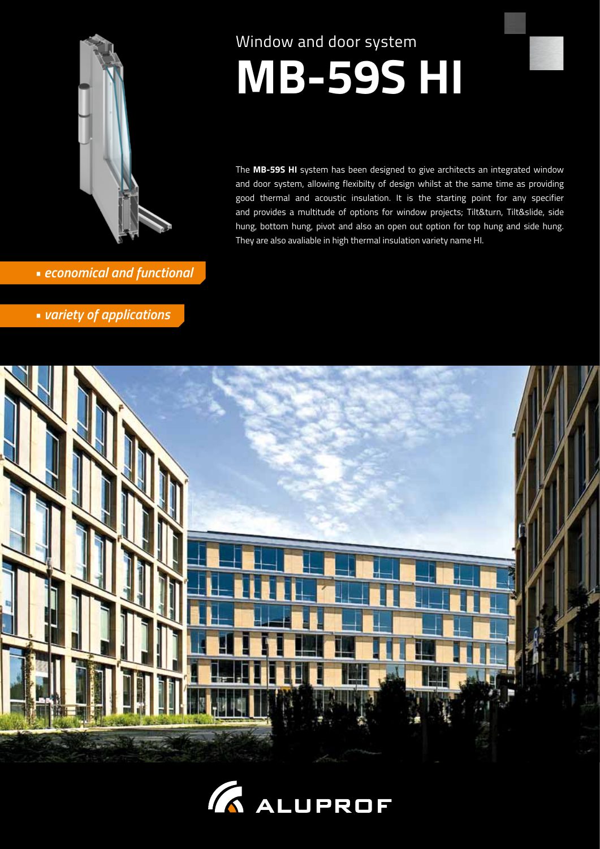

- *economical and functional*
- *variety of applications*

# Window and door system

# **MB-59S HI**

The **MB-59S HI** system has been designed to give architects an integrated window and door system, allowing flexibilty of design whilst at the same time as providing good thermal and acoustic insulation. It is the starting point for any specifier and provides a multitude of options for window projects; Tilt&turn, Tilt&slide, side hung, bottom hung, pivot and also an open out option for top hung and side hung. They are also avaliable in high thermal insulation variety name HI.



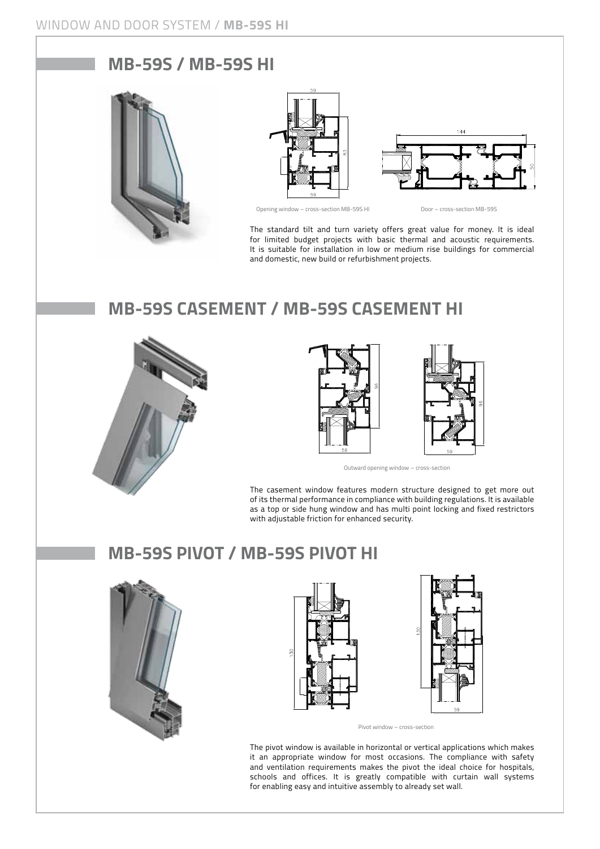#### **MB-59S / MB-59S HI**







Opening window – cross-section MB-59S HI Door – cross-section MB-59S

The standard tilt and turn variety offers great value for money. It is ideal for limited budget projects with basic thermal and acoustic requirements. It is suitable for installation in low or medium rise buildings for commercial and domestic, new build or refurbishment projects.

## **MB-59S CASEMENT / MB-59S CASEMENT HI**





Outward opening window – cross-section

The casement window features modern structure designed to get more out of its thermal performance in compliance with building regulations. It is available as a top or side hung window and has multi point locking and fixed restrictors with adjustable friction for enhanced security.

### **MB-59S PIVOT / MB-59S PIVOT HI**







Pivot window – cross-section

The pivot window is available in horizontal or vertical applications which makes it an appropriate window for most occasions. The compliance with safety and ventilation requirements makes the pivot the ideal choice for hospitals, schools and offices. It is greatly compatible with curtain wall systems for enabling easy and intuitive assembly to already set wall.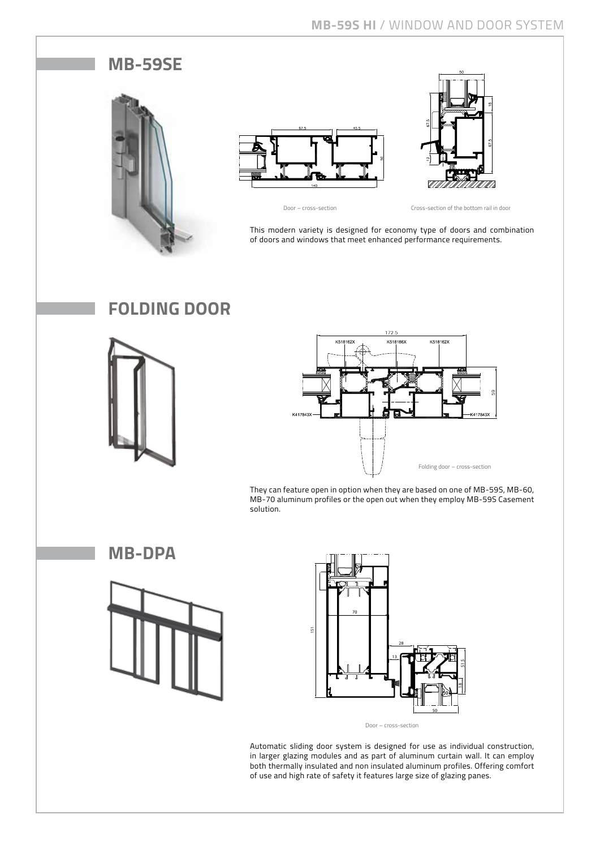#### **MB-59SE**







Door – cross-section Cross-section of the bottom rail in door

This modern variety is designed for economy type of doors and combination of doors and windows that meet enhanced performance requirements.

## **Folding door**





They can feature open in option when they are based on one of MB-59S, MB-60, MB-70 aluminum profiles or the open out when they employ MB-59S Casement solution.

**MB-DPA** 





Door – cross-section

Automatic sliding door system is designed for use as individual construction, in larger glazing modules and as part of aluminum curtain wall. It can employ both thermally insulated and non insulated aluminum profiles. Offering comfort of use and high rate of safety it features large size of glazing panes.